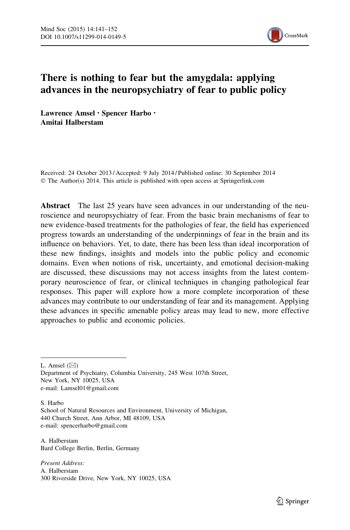

# There is nothing to fear but the amygdala: applying advances in the neuropsychiatry of fear to public policy

Lawrence Amsel • Spencer Harbo • Amitai Halberstam

Received: 24 October 2013 / Accepted: 9 July 2014 / Published online: 30 September 2014 © The Author(s) 2014. This article is published with open access at Springerlink.com

Abstract The last 25 years have seen advances in our understanding of the neuroscience and neuropsychiatry of fear. From the basic brain mechanisms of fear to new evidence-based treatments for the pathologies of fear, the field has experienced progress towards an understanding of the underpinnings of fear in the brain and its influence on behaviors. Yet, to date, there has been less than ideal incorporation of these new findings, insights and models into the public policy and economic domains. Even when notions of risk, uncertainty, and emotional decision-making are discussed, these discussions may not access insights from the latest contemporary neuroscience of fear, or clinical techniques in changing pathological fear responses. This paper will explore how a more complete incorporation of these advances may contribute to our understanding of fear and its management. Applying these advances in specific amenable policy areas may lead to new, more effective approaches to public and economic policies.

L. Amsel  $(\boxtimes)$ 

Department of Psychiatry, Columbia University, 245 West 107th Street, New York, NY 10025, USA e-mail: Lamsel01@gmail.com

S. Harbo

A. Halberstam Bard College Berlin, Berlin, Germany

Present Address: A. Halberstam 300 Riverside Drive, New York, NY 10025, USA

School of Natural Resources and Environment, University of Michigan, 440 Church Street, Ann Arbor, MI 48109, USA e-mail: spencerharbo@gmail.com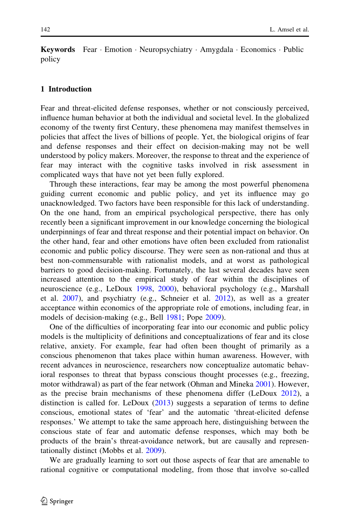Keywords Fear Emotion · Neuropsychiatry · Amygdala · Economics · Public policy

## 1 Introduction

Fear and threat-elicited defense responses, whether or not consciously perceived, influence human behavior at both the individual and societal level. In the globalized economy of the twenty first Century, these phenomena may manifest themselves in policies that affect the lives of billions of people. Yet, the biological origins of fear and defense responses and their effect on decision-making may not be well understood by policy makers. Moreover, the response to threat and the experience of fear may interact with the cognitive tasks involved in risk assessment in complicated ways that have not yet been fully explored.

Through these interactions, fear may be among the most powerful phenomena guiding current economic and public policy, and yet its influence may go unacknowledged. Two factors have been responsible for this lack of understanding. On the one hand, from an empirical psychological perspective, there has only recently been a significant improvement in our knowledge concerning the biological underpinnings of fear and threat response and their potential impact on behavior. On the other hand, fear and other emotions have often been excluded from rationalist economic and public policy discourse. They were seen as non-rational and thus at best non-commensurable with rationalist models, and at worst as pathological barriers to good decision-making. Fortunately, the last several decades have seen increased attention to the empirical study of fear within the disciplines of neuroscience (e.g., LeDoux [1998](#page-10-0), [2000\)](#page-10-0), behavioral psychology (e.g., Marshall et al. [2007\)](#page-10-0), and psychiatry (e.g., Schneier et al. [2012\)](#page-11-0), as well as a greater acceptance within economics of the appropriate role of emotions, including fear, in models of decision-making (e.g., Bell [1981;](#page-9-0) Pope [2009\)](#page-10-0).

One of the difficulties of incorporating fear into our economic and public policy models is the multiplicity of definitions and conceptualizations of fear and its close relative, anxiety. For example, fear had often been thought of primarily as a conscious phenomenon that takes place within human awareness. However, with recent advances in neuroscience, researchers now conceptualize automatic behavioral responses to threat that bypass conscious thought processes (e.g., freezing, motor withdrawal) as part of the fear network (Ohman and Mineka [2001\)](#page-10-0). However, as the precise brain mechanisms of these phenomena differ (LeDoux [2012](#page-10-0)), a distinction is called for. LeDoux  $(2013)$  $(2013)$  suggests a separation of terms to define conscious, emotional states of 'fear' and the automatic 'threat-elicited defense responses.' We attempt to take the same approach here, distinguishing between the conscious state of fear and automatic defense responses, which may both be products of the brain's threat-avoidance network, but are causally and representationally distinct (Mobbs et al. [2009](#page-10-0)).

We are gradually learning to sort out those aspects of fear that are amenable to rational cognitive or computational modeling, from those that involve so-called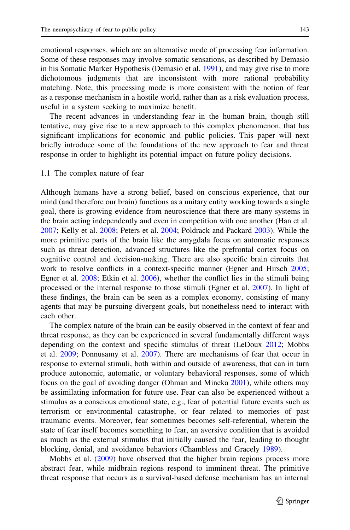emotional responses, which are an alternative mode of processing fear information. Some of these responses may involve somatic sensations, as described by Demasio in his Somatic Marker Hypothesis (Demasio et al. [1991\)](#page-9-0), and may give rise to more dichotomous judgments that are inconsistent with more rational probability matching. Note, this processing mode is more consistent with the notion of fear as a response mechanism in a hostile world, rather than as a risk evaluation process, useful in a system seeking to maximize benefit.

The recent advances in understanding fear in the human brain, though still tentative, may give rise to a new approach to this complex phenomenon, that has significant implications for economic and public policies. This paper will next briefly introduce some of the foundations of the new approach to fear and threat response in order to highlight its potential impact on future policy decisions.

## 1.1 The complex nature of fear

Although humans have a strong belief, based on conscious experience, that our mind (and therefore our brain) functions as a unitary entity working towards a single goal, there is growing evidence from neuroscience that there are many systems in the brain acting independently and even in competition with one another (Han et al. [2007;](#page-9-0) Kelly et al. [2008](#page-9-0); Peters et al. [2004](#page-10-0); Poldrack and Packard [2003\)](#page-10-0). While the more primitive parts of the brain like the amygdala focus on automatic responses such as threat detection, advanced structures like the prefrontal cortex focus on cognitive control and decision-making. There are also specific brain circuits that work to resolve conflicts in a context-specific manner (Egner and Hirsch [2005;](#page-9-0) Egner et al. [2008](#page-9-0); Etkin et al. [2006](#page-9-0)), whether the conflict lies in the stimuli being processed or the internal response to those stimuli (Egner et al. [2007\)](#page-9-0). In light of these findings, the brain can be seen as a complex economy, consisting of many agents that may be pursuing divergent goals, but nonetheless need to interact with each other.

The complex nature of the brain can be easily observed in the context of fear and threat response, as they can be experienced in several fundamentally different ways depending on the context and specific stimulus of threat (LeDoux [2012;](#page-10-0) Mobbs et al. [2009;](#page-10-0) Ponnusamy et al. [2007\)](#page-10-0). There are mechanisms of fear that occur in response to external stimuli, both within and outside of awareness, that can in turn produce autonomic, automatic, or voluntary behavioral responses, some of which focus on the goal of avoiding danger (Ohman and Mineka [2001\)](#page-10-0), while others may be assimilating information for future use. Fear can also be experienced without a stimulus as a conscious emotional state, e.g., fear of potential future events such as terrorism or environmental catastrophe, or fear related to memories of past traumatic events. Moreover, fear sometimes becomes self-referential, wherein the state of fear itself becomes something to fear, an aversive condition that is avoided as much as the external stimulus that initially caused the fear, leading to thought blocking, denial, and avoidance behaviors (Chambless and Gracely [1989\)](#page-9-0).

Mobbs et al. ([2009\)](#page-10-0) have observed that the higher brain regions process more abstract fear, while midbrain regions respond to imminent threat. The primitive threat response that occurs as a survival-based defense mechanism has an internal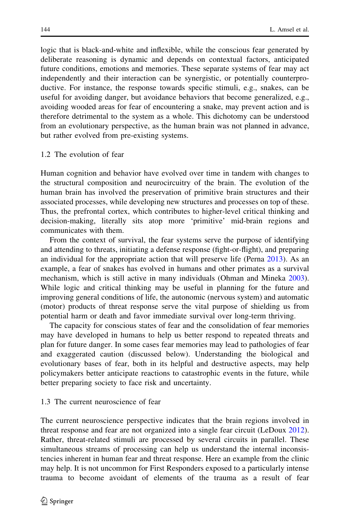logic that is black-and-white and inflexible, while the conscious fear generated by deliberate reasoning is dynamic and depends on contextual factors, anticipated future conditions, emotions and memories. These separate systems of fear may act independently and their interaction can be synergistic, or potentially counterproductive. For instance, the response towards specific stimuli, e.g., snakes, can be useful for avoiding danger, but avoidance behaviors that become generalized, e.g., avoiding wooded areas for fear of encountering a snake, may prevent action and is therefore detrimental to the system as a whole. This dichotomy can be understood from an evolutionary perspective, as the human brain was not planned in advance, but rather evolved from pre-existing systems.

### 1.2 The evolution of fear

Human cognition and behavior have evolved over time in tandem with changes to the structural composition and neurocircuitry of the brain. The evolution of the human brain has involved the preservation of primitive brain structures and their associated processes, while developing new structures and processes on top of these. Thus, the prefrontal cortex, which contributes to higher-level critical thinking and decision-making, literally sits atop more 'primitive' mid-brain regions and communicates with them.

From the context of survival, the fear systems serve the purpose of identifying and attending to threats, initiating a defense response (fight-or-flight), and preparing an individual for the appropriate action that will preserve life (Perna [2013](#page-10-0)). As an example, a fear of snakes has evolved in humans and other primates as a survival mechanism, which is still active in many individuals (Ohman and Mineka [2003\)](#page-10-0). While logic and critical thinking may be useful in planning for the future and improving general conditions of life, the autonomic (nervous system) and automatic (motor) products of threat response serve the vital purpose of shielding us from potential harm or death and favor immediate survival over long-term thriving.

The capacity for conscious states of fear and the consolidation of fear memories may have developed in humans to help us better respond to repeated threats and plan for future danger. In some cases fear memories may lead to pathologies of fear and exaggerated caution (discussed below). Understanding the biological and evolutionary bases of fear, both in its helpful and destructive aspects, may help policymakers better anticipate reactions to catastrophic events in the future, while better preparing society to face risk and uncertainty.

## 1.3 The current neuroscience of fear

The current neuroscience perspective indicates that the brain regions involved in threat response and fear are not organized into a single fear circuit (LeDoux [2012\)](#page-10-0). Rather, threat-related stimuli are processed by several circuits in parallel. These simultaneous streams of processing can help us understand the internal inconsistencies inherent in human fear and threat response. Here an example from the clinic may help. It is not uncommon for First Responders exposed to a particularly intense trauma to become avoidant of elements of the trauma as a result of fear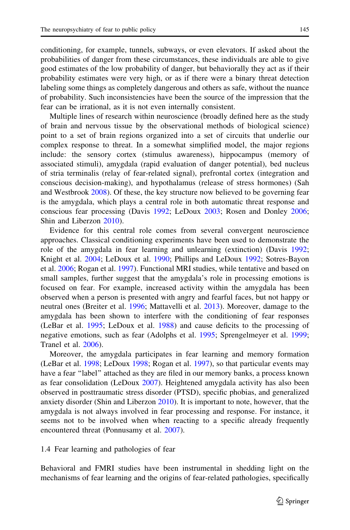conditioning, for example, tunnels, subways, or even elevators. If asked about the probabilities of danger from these circumstances, these individuals are able to give good estimates of the low probability of danger, but behaviorally they act as if their probability estimates were very high, or as if there were a binary threat detection labeling some things as completely dangerous and others as safe, without the nuance of probability. Such inconsistencies have been the source of the impression that the fear can be irrational, as it is not even internally consistent.

Multiple lines of research within neuroscience (broadly defined here as the study of brain and nervous tissue by the observational methods of biological science) point to a set of brain regions organized into a set of circuits that underlie our complex response to threat. In a somewhat simplified model, the major regions include: the sensory cortex (stimulus awareness), hippocampus (memory of associated stimuli), amygdala (rapid evaluation of danger potential), bed nucleus of stria terminalis (relay of fear-related signal), prefrontal cortex (integration and conscious decision-making), and hypothalamus (release of stress hormones) (Sah and Westbrook [2008](#page-11-0)). Of these, the key structure now believed to be governing fear is the amygdala, which plays a central role in both automatic threat response and conscious fear processing (Davis [1992;](#page-9-0) LeDoux [2003;](#page-10-0) Rosen and Donley [2006;](#page-11-0) Shin and Liberzon [2010\)](#page-11-0).

Evidence for this central role comes from several convergent neuroscience approaches. Classical conditioning experiments have been used to demonstrate the role of the amygdala in fear learning and unlearning (extinction) (Davis [1992;](#page-9-0) Knight et al. [2004](#page-10-0); LeDoux et al. [1990;](#page-10-0) Phillips and LeDoux [1992;](#page-10-0) Sotres-Bayon et al. [2006;](#page-11-0) Rogan et al. [1997\)](#page-10-0). Functional MRI studies, while tentative and based on small samples, further suggest that the amygdala's role in processing emotions is focused on fear. For example, increased activity within the amygdala has been observed when a person is presented with angry and fearful faces, but not happy or neutral ones (Breiter et al. [1996;](#page-9-0) Mattavelli et al. [2013](#page-10-0)). Moreover, damage to the amygdala has been shown to interfere with the conditioning of fear responses (LeBar et al. [1995](#page-10-0); LeDoux et al. [1988\)](#page-10-0) and cause deficits to the processing of negative emotions, such as fear (Adolphs et al. [1995](#page-8-0); Sprengelmeyer et al. [1999;](#page-11-0) Tranel et al. [2006](#page-11-0)).

Moreover, the amygdala participates in fear learning and memory formation (LeBar et al. [1998;](#page-10-0) LeDoux [1998](#page-10-0); Rogan et al. [1997](#page-10-0)), so that particular events may have a fear ''label'' attached as they are filed in our memory banks, a process known as fear consolidation (LeDoux [2007\)](#page-10-0). Heightened amygdala activity has also been observed in posttraumatic stress disorder (PTSD), specific phobias, and generalized anxiety disorder (Shin and Liberzon [2010](#page-11-0)). It is important to note, however, that the amygdala is not always involved in fear processing and response. For instance, it seems not to be involved when when reacting to a specific already frequently encountered threat (Ponnusamy et al. [2007](#page-10-0)).

1.4 Fear learning and pathologies of fear

Behavioral and FMRI studies have been instrumental in shedding light on the mechanisms of fear learning and the origins of fear-related pathologies, specifically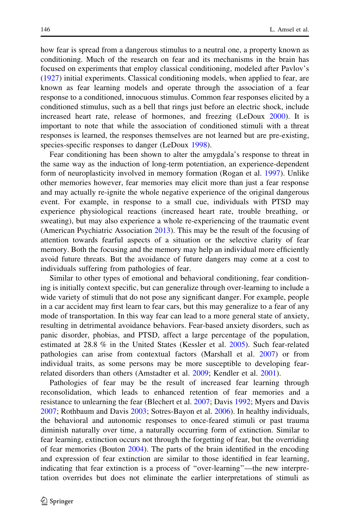how fear is spread from a dangerous stimulus to a neutral one, a property known as conditioning. Much of the research on fear and its mechanisms in the brain has focused on experiments that employ classical conditioning, modeled after Pavlov's [\(1927](#page-10-0)) initial experiments. Classical conditioning models, when applied to fear, are known as fear learning models and operate through the association of a fear response to a conditioned, innocuous stimulus. Common fear responses elicited by a conditioned stimulus, such as a bell that rings just before an electric shock, include increased heart rate, release of hormones, and freezing (LeDoux [2000\)](#page-10-0). It is important to note that while the association of conditioned stimuli with a threat responses is learned, the responses themselves are not learned but are pre-existing, species-specific responses to danger (LeDoux [1998](#page-10-0)).

Fear conditioning has been shown to alter the amygdala's response to threat in the same way as the induction of long-term potentiation, an experience-dependent form of neuroplasticity involved in memory formation (Rogan et al. [1997](#page-10-0)). Unlike other memories however, fear memories may elicit more than just a fear response and may actually re-ignite the whole negative experience of the original dangerous event. For example, in response to a small cue, individuals with PTSD may experience physiological reactions (increased heart rate, trouble breathing, or sweating), but may also experience a whole re-experiencing of the traumatic event (American Psychiatric Association [2013](#page-8-0)). This may be the result of the focusing of attention towards fearful aspects of a situation or the selective clarity of fear memory. Both the focusing and the memory may help an individual more efficiently avoid future threats. But the avoidance of future dangers may come at a cost to individuals suffering from pathologies of fear.

Similar to other types of emotional and behavioral conditioning, fear conditioning is initially context specific, but can generalize through over-learning to include a wide variety of stimuli that do not pose any significant danger. For example, people in a car accident may first learn to fear cars, but this may generalize to a fear of any mode of transportation. In this way fear can lead to a more general state of anxiety, resulting in detrimental avoidance behaviors. Fear-based anxiety disorders, such as panic disorder, phobias, and PTSD, affect a large percentage of the population, estimated at 28.8 % in the United States (Kessler et al. [2005](#page-10-0)). Such fear-related pathologies can arise from contextual factors (Marshall et al. [2007\)](#page-10-0) or from individual traits, as some persons may be more susceptible to developing fearrelated disorders than others (Amstadter et al. [2009;](#page-9-0) Kendler et al. [2001](#page-9-0)).

Pathologies of fear may be the result of increased fear learning through reconsolidation, which leads to enhanced retention of fear memories and a resistance to unlearning the fear (Blechert et al. [2007;](#page-9-0) Davis [1992;](#page-9-0) Myers and Davis [2007;](#page-10-0) Rothbaum and Davis [2003](#page-11-0); Sotres-Bayon et al. [2006](#page-11-0)). In healthy individuals, the behavioral and autonomic responses to once-feared stimuli or past trauma diminish naturally over time, a naturally occurring form of extinction. Similar to fear learning, extinction occurs not through the forgetting of fear, but the overriding of fear memories (Bouton [2004\)](#page-9-0). The parts of the brain identified in the encoding and expression of fear extinction are similar to those identified in fear learning, indicating that fear extinction is a process of ''over-learning''—the new interpretation overrides but does not eliminate the earlier interpretations of stimuli as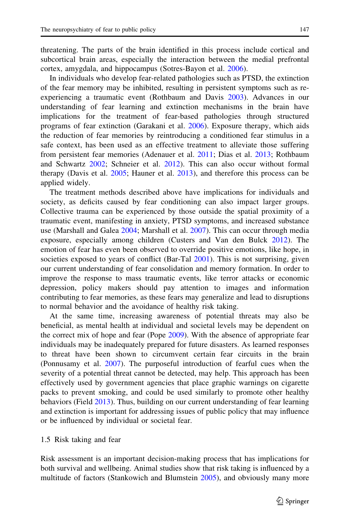threatening. The parts of the brain identified in this process include cortical and subcortical brain areas, especially the interaction between the medial prefrontal cortex, amygdala, and hippocampus (Sotres-Bayon et al. [2006\)](#page-11-0).

In individuals who develop fear-related pathologies such as PTSD, the extinction of the fear memory may be inhibited, resulting in persistent symptoms such as reexperiencing a traumatic event (Rothbaum and Davis [2003](#page-11-0)). Advances in our understanding of fear learning and extinction mechanisms in the brain have implications for the treatment of fear-based pathologies through structured programs of fear extinction (Garakani et al. [2006](#page-9-0)). Exposure therapy, which aids the reduction of fear memories by reintroducing a conditioned fear stimulus in a safe context, has been used as an effective treatment to alleviate those suffering from persistent fear memories (Adenauer et al. [2011;](#page-8-0) Dias et al. [2013](#page-9-0); Rothbaum and Schwartz [2002](#page-11-0); Schneier et al. [2012](#page-11-0)). This can also occur without formal therapy (Davis et al. [2005](#page-9-0); Hauner et al. [2013\)](#page-9-0), and therefore this process can be applied widely.

The treatment methods described above have implications for individuals and society, as deficits caused by fear conditioning can also impact larger groups. Collective trauma can be experienced by those outside the spatial proximity of a traumatic event, manifesting in anxiety, PTSD symptoms, and increased substance use (Marshall and Galea [2004](#page-10-0); Marshall et al. [2007\)](#page-10-0). This can occur through media exposure, especially among children (Custers and Van den Bulck [2012](#page-9-0)). The emotion of fear has even been observed to override positive emotions, like hope, in societies exposed to years of conflict (Bar-Tal [2001\)](#page-9-0). This is not surprising, given our current understanding of fear consolidation and memory formation. In order to improve the response to mass traumatic events, like terror attacks or economic depression, policy makers should pay attention to images and information contributing to fear memories, as these fears may generalize and lead to disruptions to normal behavior and the avoidance of healthy risk taking.

At the same time, increasing awareness of potential threats may also be beneficial, as mental health at individual and societal levels may be dependent on the correct mix of hope and fear (Pope [2009](#page-10-0)). With the absence of appropriate fear individuals may be inadequately prepared for future disasters. As learned responses to threat have been shown to circumvent certain fear circuits in the brain (Ponnusamy et al. [2007\)](#page-10-0). The purposeful introduction of fearful cues when the severity of a potential threat cannot be detected, may help. This approach has been effectively used by government agencies that place graphic warnings on cigarette packs to prevent smoking, and could be used similarly to promote other healthy behaviors (Field [2013\)](#page-9-0). Thus, building on our current understanding of fear learning and extinction is important for addressing issues of public policy that may influence or be influenced by individual or societal fear.

## 1.5 Risk taking and fear

Risk assessment is an important decision-making process that has implications for both survival and wellbeing. Animal studies show that risk taking is influenced by a multitude of factors (Stankowich and Blumstein [2005\)](#page-11-0), and obviously many more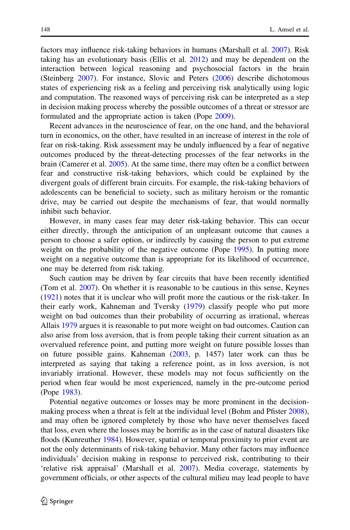factors may influence risk-taking behaviors in humans (Marshall et al. [2007](#page-10-0)). Risk taking has an evolutionary basis (Ellis et al. [2012](#page-9-0)) and may be dependent on the interaction between logical reasoning and psychosocial factors in the brain (Steinberg [2007\)](#page-11-0). For instance, Slovic and Peters [\(2006](#page-11-0)) describe dichotomous states of experiencing risk as a feeling and perceiving risk analytically using logic and computation. The reasoned ways of perceiving risk can be interpreted as a step in decision making process whereby the possible outcomes of a threat or stressor are formulated and the appropriate action is taken (Pope [2009](#page-10-0)).

Recent advances in the neuroscience of fear, on the one hand, and the behavioral turn in economics, on the other, have resulted in an increase of interest in the role of fear on risk-taking. Risk assessment may be unduly influenced by a fear of negative outcomes produced by the threat-detecting processes of the fear networks in the brain (Camerer et al. [2005](#page-9-0)). At the same time, there may often be a conflict between fear and constructive risk-taking behaviors, which could be explained by the divergent goals of different brain circuits. For example, the risk-taking behaviors of adolescents can be beneficial to society, such as military heroism or the romantic drive, may be carried out despite the mechanisms of fear, that would normally inhibit such behavior.

However, in many cases fear may deter risk-taking behavior. This can occur either directly, through the anticipation of an unpleasant outcome that causes a person to choose a safer option, or indirectly by causing the person to put extreme weight on the probability of the negative outcome (Pope [1995](#page-10-0)). In putting more weight on a negative outcome than is appropriate for its likelihood of occurrence, one may be deterred from risk taking.

Such caution may be driven by fear circuits that have been recently identified (Tom et al. [2007](#page-11-0)). On whether it is reasonable to be cautious in this sense, Keynes [\(1921](#page-10-0)) notes that it is unclear who will profit more the cautious or the risk-taker. In their early work, Kahneman and Tversky [\(1979](#page-9-0)) classify people who put more weight on bad outcomes than their probability of occurring as irrational, whereas Allais [1979](#page-8-0) argues it is reasonable to put more weight on bad outcomes. Caution can also arise from loss aversion, that is from people taking their current situation as an overvalued reference point, and putting more weight on future possible losses than on future possible gains. Kahneman ([2003,](#page-9-0) p. 1457) later work can thus be interpreted as saying that taking a reference point, as in loss aversion, is not invariably irrational. However, these models may not focus sufficiently on the period when fear would be most experienced, namely in the pre-outcome period (Pope [1983\)](#page-10-0).

Potential negative outcomes or losses may be more prominent in the decisionmaking process when a threat is felt at the individual level (Bohm and Pfister [2008\)](#page-9-0), and may often be ignored completely by those who have never themselves faced that loss, even where the losses may be horrific as in the case of natural disasters like floods (Kunreuther [1984](#page-10-0)). However, spatial or temporal proximity to prior event are not the only determinants of risk-taking behavior. Many other factors may influence individuals' decision making in response to perceived risk, contributing to their 'relative risk appraisal' (Marshall et al. [2007\)](#page-10-0). Media coverage, statements by government officials, or other aspects of the cultural milieu may lead people to have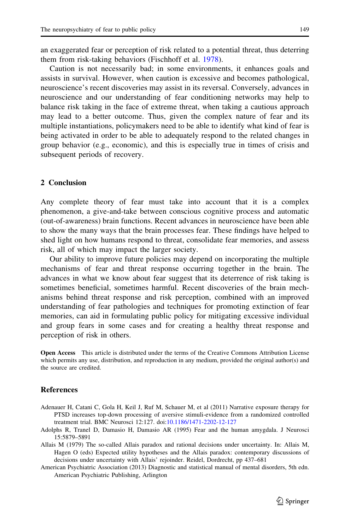<span id="page-8-0"></span>an exaggerated fear or perception of risk related to a potential threat, thus deterring them from risk-taking behaviors (Fischhoff et al. [1978\)](#page-9-0).

Caution is not necessarily bad; in some environments, it enhances goals and assists in survival. However, when caution is excessive and becomes pathological, neuroscience's recent discoveries may assist in its reversal. Conversely, advances in neuroscience and our understanding of fear conditioning networks may help to balance risk taking in the face of extreme threat, when taking a cautious approach may lead to a better outcome. Thus, given the complex nature of fear and its multiple instantiations, policymakers need to be able to identify what kind of fear is being activated in order to be able to adequately respond to the related changes in group behavior (e.g., economic), and this is especially true in times of crisis and subsequent periods of recovery.

## 2 Conclusion

Any complete theory of fear must take into account that it is a complex phenomenon, a give-and-take between conscious cognitive process and automatic (out-of-awareness) brain functions. Recent advances in neuroscience have been able to show the many ways that the brain processes fear. These findings have helped to shed light on how humans respond to threat, consolidate fear memories, and assess risk, all of which may impact the larger society.

Our ability to improve future policies may depend on incorporating the multiple mechanisms of fear and threat response occurring together in the brain. The advances in what we know about fear suggest that its deterrence of risk taking is sometimes beneficial, sometimes harmful. Recent discoveries of the brain mechanisms behind threat response and risk perception, combined with an improved understanding of fear pathologies and techniques for promoting extinction of fear memories, can aid in formulating public policy for mitigating excessive individual and group fears in some cases and for creating a healthy threat response and perception of risk in others.

Open Access This article is distributed under the terms of the Creative Commons Attribution License which permits any use, distribution, and reproduction in any medium, provided the original author(s) and the source are credited.

## References

- Adenauer H, Catani C, Gola H, Keil J, Ruf M, Schauer M, et al (2011) Narrative exposure therapy for PTSD increases top-down processing of aversive stimuli-evidence from a randomized controlled treatment trial. BMC Neurosci 12:127. doi[:10.1186/1471-2202-12-127](http://dx.doi.org/10.1186/1471-2202-12-127)
- Adolphs R, Tranel D, Damasio H, Damasio AR (1995) Fear and the human amygdala. J Neurosci 15:5879–5891
- Allais M (1979) The so-called Allais paradox and rational decisions under uncertainty. In: Allais M, Hagen O (eds) Expected utility hypotheses and the Allais paradox: contemporary discussions of decisions under uncertainty with Allais' rejoinder. Reidel, Dordrecht, pp 437–681
- American Psychiatric Association (2013) Diagnostic and statistical manual of mental disorders, 5th edn. American Psychiatric Publishing, Arlington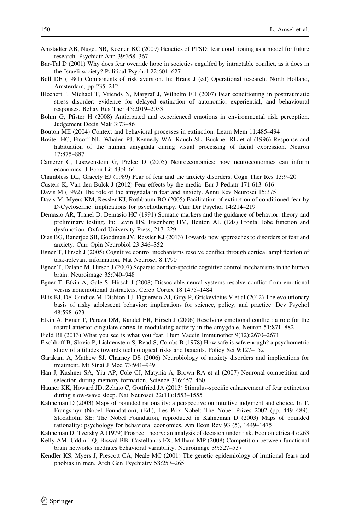- <span id="page-9-0"></span>Amstadter AB, Nuget NR, Koenen KC (2009) Genetics of PTSD: fear conditioning as a model for future research. Psychiatr Ann 39:358–367
- Bar-Tal D (2001) Why does fear override hope in societies engulfed by intractable conflict, as it does in the Israeli society? Political Psychol 22:601–627
- Bell DE (1981) Components of risk aversion. In: Brans J (ed) Operational research. North Holland, Amsterdam, pp 235–242
- Blechert J, Michael T, Vriends N, Margraf J, Wilhelm FH (2007) Fear conditioning in posttraumatic stress disorder: evidence for delayed extinction of autonomic, experiential, and behavioural responses. Behav Res Ther 45:2019–2033
- Bohm G, Pfister H (2008) Anticipated and experienced emotions in environmental risk perception. Judgement Decis Mak 3:73–86
- Bouton ME (2004) Context and behavioral processes in extinction. Learn Mem 11:485–494
- Breiter HC, Etcoff NL, Whalen PJ, Kennedy WA, Rauch SL, Buckner RL et al (1996) Response and habituation of the human amygdala during visual processing of facial expression. Neuron 17:875–887
- Camerer C, Loewenstein G, Prelec D (2005) Neuroeconomics: how neuroeconomics can inform economics. J Econ Lit 43:9–64
- Chambless DL, Gracely EJ (1989) Fear of fear and the anxiety disorders. Cogn Ther Res 13:9–20
- Custers K, Van den Bulck J (2012) Fear effects by the media. Eur J Pediatr 171:613–616
- Davis M (1992) The role of the amygdala in fear and anxiety. Annu Rev Neurosci 15:375
- Davis M, Myers KM, Ressler KJ, Rothbaum BO (2005) Facilitation of extinction of conditioned fear by D-Cycloserine: implications for psychotherapy. Curr Dir Psychol 14:214–219
- Demasio AR, Tranel D, Demasio HC (1991) Somatic markers and the guidance of behavior: theory and preliminary testing. In: Levin HS, Eisenberg HM, Benton AL (Eds) Frontal lobe function and dysfunction. Oxford University Press, 217–229
- Dias BG, Banerjee SB, Goodman JV, Ressler KJ (2013) Towards new approaches to disorders of fear and anxiety. Curr Opin Neurobiol 23:346–352
- Egner T, Hirsch J (2005) Cognitive control mechanisms resolve conflict through cortical amplification of task-relevant information. Nat Neurosci 8:1790
- Egner T, Delano M, Hirsch J (2007) Separate conflict-specific cognitive control mechanisms in the human brain. Neuroimage 35:940–948
- Egner T, Etkin A, Gale S, Hirsch J (2008) Dissociable neural systems resolve conflict from emotional versus nonemotional distracters. Cereb Cortex 18:1475–1484
- Ellis BJ, Del Giudice M, Dishion TJ, Figueredo AJ, Gray P, Griskevicius V et al (2012) The evolutionary basis of risky adolescent behavior: implications for science, policy, and practice. Dev Psychol 48:598–623
- Etkin A, Egner T, Peraza DM, Kandel ER, Hirsch J (2006) Resolving emotional conflict: a role for the rostral anterior cingulate cortex in modulating activity in the amygdale. Neuron 51:871–882
- Field RI (2013) What you see is what you fear. Hum Vaccin Immunother 9(12):2670–2671
- Fischhoff B, Slovic P, Lichtenstein S, Read S, Combs B (1978) How safe is safe enough? a psychometric study of attitudes towards technological risks and benefits. Policy Sci 9:127–152
- Garakani A, Mathew SJ, Charney DS (2006) Neurobiology of anxiety disorders and implications for treatment. Mt Sinai J Med 73:941–949
- Han J, Kushner SA, Yiu AP, Cole CJ, Matynia A, Brown RA et al (2007) Neuronal competition and selection during memory formation. Science 316:457–460
- Hauner KK, Howard JD, Zelano C, Gottfried JA (2013) Stimulus-specific enhancement of fear extinction during slow-wave sleep. Nat Neurosci 22(11):1553–1555
- Kahneman D (2003) Maps of bounded rationality: a perspective on intuitive judgment and choice. In T. Frangsmyr (Nobel Foundation), (Ed.), Les Prix Nobel: The Nobel Prizes 2002 (pp. 449–489). Stockholm SE: The Nobel Foundation, reproduced in Kahneman D (2003) Maps of bounded rationality: psychology for behavioral economics, Am Econ Rev 93 (5), 1449–1475
- Kahneman D, Tversky A (1979) Prospect theory: an analysis of decision under risk. Econometrica 47:263
- Kelly AM, Uddin LQ, Biswal BB, Castellanos FX, Milham MP (2008) Competition between functional brain networks mediates behavioral variability. Neuroimage 39:527–537
- Kendler KS, Myers J, Prescott CA, Neale MC (2001) The genetic epidemiology of irrational fears and phobias in men. Arch Gen Psychiatry 58:257–265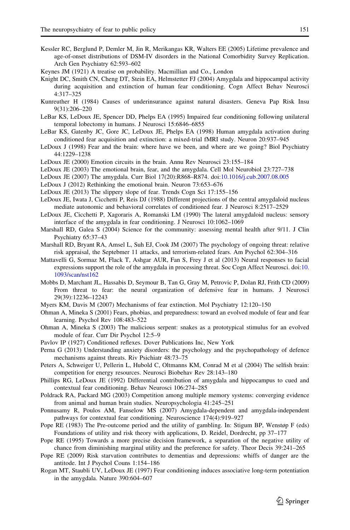- <span id="page-10-0"></span>Kessler RC, Berglund P, Demler M, Jin R, Merikangas KR, Walters EE (2005) Lifetime prevalence and age-of-onset distributions of DSM-IV disorders in the National Comorbidity Survey Replication. Arch Gen Psychiatry 62:593–602
- Keynes JM (1921) A treatise on probability. Macmillian and Co., London
- Knight DC, Smith CN, Cheng DT, Stein EA, Helmstetter FJ (2004) Amygdala and hippocampal activity during acquisition and extinction of human fear conditioning. Cogn Affect Behav Neurosci 4:317–325
- Kunreuther H (1984) Causes of underinsurance against natural disasters. Geneva Pap Risk Insu 9(31):206–220
- LeBar KS, LeDoux JE, Spencer DD, Phelps EA (1995) Impaired fear conditioning following unilateral temporal lobectomy in humans. J Neurosci 15:6846–6855
- LeBar KS, Gatenby JC, Gore JC, LeDoux JE, Phelps EA (1998) Human amygdala activation during conditioned fear acquisition and extinction: a mixed-trial fMRI study. Neuron 20:937–945
- LeDoux J (1998) Fear and the brain: where have we been, and where are we going? Biol Psychiatry 44:1229–1238
- LeDoux JE (2000) Emotion circuits in the brain. Annu Rev Neurosci 23:155–184
- LeDoux JE (2003) The emotional brain, fear, and the amygdala. Cell Mol Neurobiol 23:727–738
- LeDoux JE (2007) The amygdala. Curr Biol 17(20):R868–R874. doi:[10.1016/j.cub.2007.08.005](http://dx.doi.org/10.1016/j.cub.2007.08.005)
- LeDoux J (2012) Rethinking the emotional brain. Neuron 73:653–676
- LeDoux JE (2013) The slippery slope of fear. Trends Cogn Sci 17:155–156
- LeDoux JE, Iwata J, Cicchetti P, Reis DJ (1988) Different projections of the central amygdaloid nucleus mediate autonomic and behavioral correlates of conditioned fear. J Neurosci 8:2517–2529
- LeDoux JE, Cicchetti P, Xagoraris A, Romanski LM (1990) The lateral amygdaloid nucleus: sensory interface of the amygdala in fear conditioning. J Neurosci 10:1062–1069
- Marshall RD, Galea S (2004) Science for the community: assessing mental health after 9/11. J Clin Psychiatry 65:37–43
- Marshall RD, Bryant RA, Amsel L, Suh EJ, Cook JM (2007) The psychology of ongoing threat: relative risk appraisal, the Septebmer 11 attacks, and terrorism-related fears. Am Psychol 62:304–316
- Mattavelli G, Sormaz M, Flack T, Ashgar AUR, Fan S, Frey J et al (2013) Neural responses to facial expressions support the role of the amygdala in processing threat. Soc Cogn Affect Neurosci. doi[:10.](http://dx.doi.org/10.1093/scan/nst162) [1093/scan/nst162](http://dx.doi.org/10.1093/scan/nst162)
- Mobbs D, Marchant JL, Hassabis D, Seymour B, Tan G, Gray M, Petrovic P, Dolan RJ, Frith CD (2009) From threat to fear: the neural organization of defensive fear in humans. J Neurosci 29(39):12236–12243
- Myers KM, Davis M (2007) Mechanisms of fear extinction. Mol Psychiatry 12:120–150
- Ohman A, Mineka S (2001) Fears, phobias, and preparedness: toward an evolved module of fear and fear learning. Psychol Rev 108:483–522
- Ohman A, Mineka S (2003) The malicious serpent: snakes as a prototypical stimulus for an evolved module of fear. Curr Dir Psychol 12:5–9
- Pavlov IP (1927) Conditioned reflexes. Dover Publications Inc, New York
- Perna G (2013) Understanding anxiety disorders: the psychology and the psychopathology of defence mechanisms against threats. Riv Psichiatr 48:73–75
- Peters A, Schweiger U, Pellerin L, Hubold C, Oltmanns KM, Conrad M et al (2004) The selfish brain: competition for energy resources. Neurosci Biobehav Rev 28:143–180
- Phillips RG, LeDoux JE (1992) Differential contribution of amygdala and hippocampus to cued and contextual fear conditioning. Behav Neurosci 106:274–285
- Poldrack RA, Packard MG (2003) Competition among multiple memory systems: converging evidence from animal and human brain studies. Neuropsychologia 41:245–251
- Ponnusamy R, Poulos AM, Fanselow MS (2007) Amygdala-dependent and amygdala-independent pathways for contextual fear conditioning. Neuroscience 174(4):919–927
- Pope RE (1983) The Pre-outcome period and the utility of gambling. In: Stigum BP, Wenstøp F (eds) Foundations of utility and risk theory with applications, D. Reidel, Dordrecht, pp 37–177
- Pope RE (1995) Towards a more precise decision framework, a separation of the negative utility of chance from diminishing marginal utility and the preference for safety. Theor Decis 39:241–265
- Pope RE (2009) Risk starvation contributes to dementias and depressions: whiffs of danger are the antitode. Int J Psychol Couns 1:154–186
- Rogan MT, Staubli UV, LeDoux JE (1997) Fear conditioning induces associative long-term potentiation in the amygdala. Nature 390:604–607